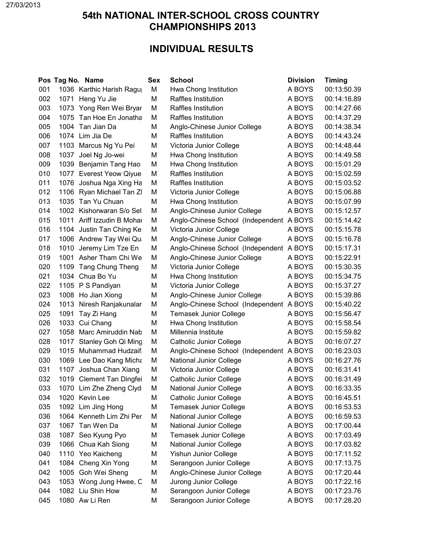## **54th NATIONAL INTER-SCHOOL CROSS COUNTRY CHAMPIONSHIPS 2013**

## **INDIVIDUAL RESULTS**

|     |      | Pos Tag No. Name         | <b>Sex</b> | <b>School</b>                            | <b>Division</b> | <b>Timing</b> |
|-----|------|--------------------------|------------|------------------------------------------|-----------------|---------------|
| 001 |      | 1036 Karthic Harish Ragu | M          | Hwa Chong Institution                    | A BOYS          | 00:13:50.39   |
| 002 |      | 1071 Heng Yu Jie         | M          | Raffles Institution                      | A BOYS          | 00:14:16.89   |
| 003 |      | 1073 Yong Ren Wei Bryar  | M          | Raffles Institution                      | A BOYS          | 00:14:27.66   |
| 004 |      | 1075 Tan Hoe En Jonatha  | M          | Raffles Institution                      | A BOYS          | 00:14:37.29   |
| 005 |      | 1004 Tan Jian Da         | M          | Anglo-Chinese Junior College             | A BOYS          | 00:14:38.34   |
| 006 |      | 1074 Lim Jia De          | М          | Raffles Institution                      | A BOYS          | 00:14:43.24   |
| 007 |      | 1103 Marcus Ng Yu Pei    | M          | Victoria Junior College                  | A BOYS          | 00:14:48.44   |
| 008 | 1037 | Joel Ng Jo-wei           | M          | Hwa Chong Institution                    | A BOYS          | 00:14:49.58   |
| 009 |      | 1039 Benjamin Tang Hao   | M          | Hwa Chong Institution                    | A BOYS          | 00:15:01.29   |
| 010 |      | 1077 Everest Yeow Qiyue  | M          | Raffles Institution                      | A BOYS          | 00:15:02.59   |
| 011 |      | 1076 Joshua Nga Xing Ha  | M          | Raffles Institution                      | A BOYS          | 00:15:03.52   |
| 012 |      | 1106 Ryan Michael Tan ZI | M          | Victoria Junior College                  | A BOYS          | 00:15:06.88   |
| 013 |      | 1035 Tan Yu Chuan        | M          | Hwa Chong Institution                    | A BOYS          | 00:15:07.99   |
| 014 |      | 1002 Kishorwaran S/o Sel | M          | Anglo-Chinese Junior College             | A BOYS          | 00:15:12.57   |
| 015 | 1011 | Ariff Izzudin B Mohai    | M          | Anglo-Chinese School (Independent A BOYS |                 | 00:15:14.42   |
| 016 |      | 1104 Justin Tan Ching Ke | M          | Victoria Junior College                  | A BOYS          | 00:15:15.78   |
| 017 |      | 1006 Andrew Tay Wei Qu   | M          | Anglo-Chinese Junior College             | A BOYS          | 00:15:16.78   |
| 018 |      | 1010 Jeremy Lim Tze En   | M          | Anglo-Chinese School (Independent A BOYS |                 | 00:15:17.31   |
| 019 | 1001 | Asher Tham Chi We        | M          | Anglo-Chinese Junior College             | A BOYS          | 00:15:22.91   |
| 020 |      | 1109 Tang Chung Theng    | M          | Victoria Junior College                  | A BOYS          | 00:15:30.35   |
| 021 |      | 1034 Chua Bo Yu          | M          | Hwa Chong Institution                    | A BOYS          | 00:15:34.75   |
| 022 |      | 1105 PS Pandiyan         | M          | Victoria Junior College                  | A BOYS          | 00:15:37.27   |
| 023 |      | 1008 Ho Jian Xiong       | M          | Anglo-Chinese Junior College             | A BOYS          | 00:15:39.86   |
| 024 |      | 1013 Niresh Ranjakunalar | M          | Anglo-Chinese School (Independent A BOYS |                 | 00:15:40.22   |
| 025 | 1091 | Tay Zi Hang              | M          | <b>Temasek Junior College</b>            | A BOYS          | 00:15:56.47   |
| 026 | 1033 | Cui Chang                | M          | Hwa Chong Institution                    | A BOYS          | 00:15:58.54   |
| 027 | 1058 | Marc Amiruddin Nab       | M          | Millennia Institute                      | A BOYS          | 00:15:59.82   |
| 028 | 1017 | Stanley Goh Qi Ming      | M          | Catholic Junior College                  | A BOYS          | 00:16:07.27   |
| 029 |      | 1015 Muhammad Hudzaif    | M          | Anglo-Chinese School (Independent A BOYS |                 | 00:16:23.03   |
| 030 |      | 1069 Lee Dao Kang Micha  | M          | <b>National Junior College</b>           | A BOYS          | 00:16:27.76   |
| 031 | 1107 | Joshua Chan Xiang        | M          | Victoria Junior College                  | A BOYS          | 00:16:31.41   |
| 032 |      | 1019 Clement Tan Dingfei | M          | <b>Catholic Junior College</b>           | A BOYS          | 00:16:31.49   |
| 033 |      | 1070 Lim Zhe Zheng Clyd  | M          | National Junior College                  | A BOYS          | 00:16:33.35   |
| 034 |      | 1020 Kevin Lee           | M          | <b>Catholic Junior College</b>           | A BOYS          | 00:16:45.51   |
| 035 |      | 1092 Lim Jing Hong       | M          | <b>Temasek Junior College</b>            | A BOYS          | 00:16:53.53   |
| 036 |      | 1064 Kenneth Lim Zhi Per | M          | <b>National Junior College</b>           | A BOYS          | 00:16:59.53   |
| 037 |      | 1067 Tan Wen Da          | M          | National Junior College                  | A BOYS          | 00:17:00.44   |
| 038 |      | 1087 Seo Kyung Pyo       | M          | <b>Temasek Junior College</b>            | A BOYS          | 00:17:03.49   |
| 039 |      | 1066 Chua Kah Siong      | M          | National Junior College                  | A BOYS          | 00:17:03.82   |
| 040 |      | 1110 Yeo Kaicheng        | M          | <b>Yishun Junior College</b>             | A BOYS          | 00:17:11.52   |
| 041 |      | 1084 Cheng Xin Yong      | M          | Serangoon Junior College                 | A BOYS          | 00:17:13.75   |
| 042 |      | 1005 Goh Wei Sheng       | M          | Anglo-Chinese Junior College             | A BOYS          | 00:17:20.44   |
| 043 |      | 1053 Wong Jung Hwee, C   | M          | Jurong Junior College                    | A BOYS          | 00:17:22.16   |
| 044 |      | 1082 Liu Shin How        | M          | Serangoon Junior College                 | A BOYS          | 00:17:23.76   |
| 045 |      | 1080 Aw Li Ren           | M          | Serangoon Junior College                 | A BOYS          | 00:17:28.20   |